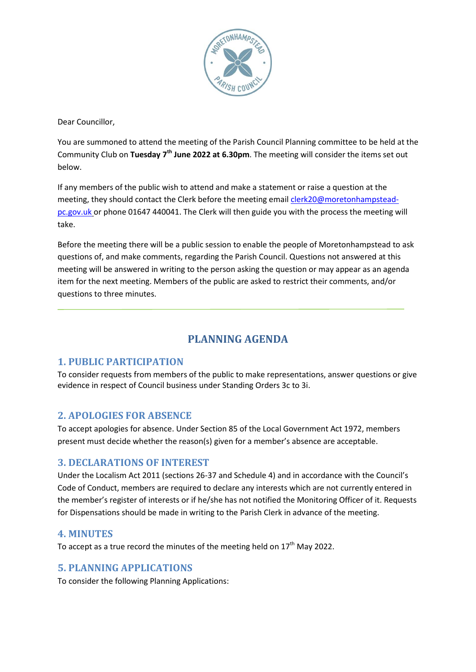

Dear Councillor,

You are summoned to attend the meeting of the Parish Council Planning committee to be held at the Community Club on **Tuesday 7 th June 2022 at 6.30pm**. The meeting will consider the items set out below.

If any members of the public wish to attend and make a statement or raise a question at the meeting, they should contact the Clerk before the meeting emai[l clerk20@moretonhampstead](mailto:clerk20@moretonhampstead-pc.gov.uk)[pc.gov.uk](mailto:clerk20@moretonhampstead-pc.gov.uk) or phone 01647 440041. The Clerk will then guide you with the process the meeting will take.

Before the meeting there will be a public session to enable the people of Moretonhampstead to ask questions of, and make comments, regarding the Parish Council. Questions not answered at this meeting will be answered in writing to the person asking the question or may appear as an agenda item for the next meeting. Members of the public are asked to restrict their comments, and/or questions to three minutes.

# **PLANNING AGENDA**

# **1. PUBLIC PARTICIPATION**

To consider requests from members of the public to make representations, answer questions or give evidence in respect of Council business under Standing Orders 3c to 3i.

# **2. APOLOGIES FOR ABSENCE**

To accept apologies for absence. Under Section 85 of the Local Government Act 1972, members present must decide whether the reason(s) given for a member's absence are acceptable.

#### **3. DECLARATIONS OF INTEREST**

Under the Localism Act 2011 (sections 26-37 and Schedule 4) and in accordance with the Council's Code of Conduct, members are required to declare any interests which are not currently entered in the member's register of interests or if he/she has not notified the Monitoring Officer of it. Requests for Dispensations should be made in writing to the Parish Clerk in advance of the meeting.

### **4. MINUTES**

To accept as a true record the minutes of the meeting held on  $17<sup>th</sup>$  May 2022.

### **5. PLANNING APPLICATIONS**

To consider the following Planning Applications: